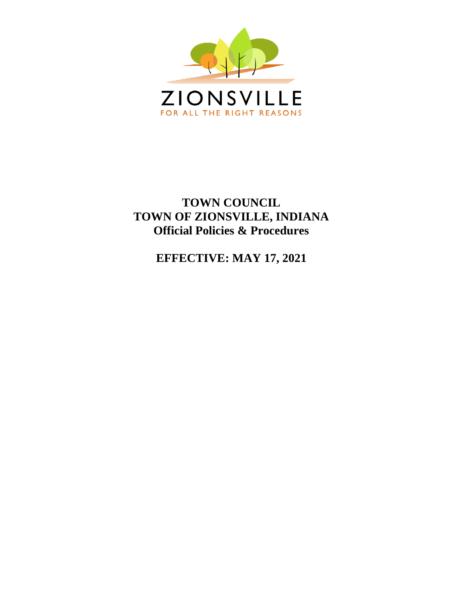

# **TOWN COUNCIL TOWN OF ZIONSVILLE, INDIANA Official Policies & Procedures**

**EFFECTIVE: MAY 17, 2021**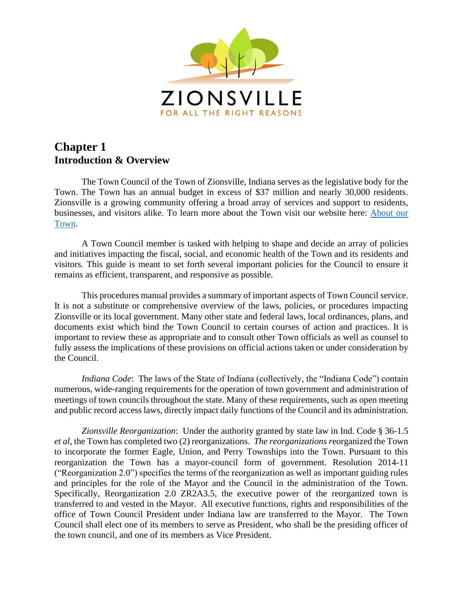

## **Chapter 1 Introduction & Overview**

The Town Council of the Town of Zionsville, Indiana serves as the legislative body for the Town. The Town has an annual budget in excess of \$37 million and nearly 30,000 residents. Zionsville is a growing community offering a broad array of services and support to residents, businesses, and visitors alike. To learn more about the Town visit our website here: [About our](http://www.zionsville-in.gov/312/About-Our-Town)  [Town.](http://www.zionsville-in.gov/312/About-Our-Town)

A Town Council member is tasked with helping to shape and decide an array of policies and initiatives impacting the fiscal, social, and economic health of the Town and its residents and visitors. This guide is meant to set forth several important policies for the Council to ensure it remains as efficient, transparent, and responsive as possible.

 This procedures manual provides a summary of important aspects of Town Council service. It is not a substitute or comprehensive overview of the laws, policies, or procedures impacting Zionsville or its local government. Many other state and federal laws, local ordinances, plans, and documents exist which bind the Town Council to certain courses of action and practices. It is important to review these as appropriate and to consult other Town officials as well as counsel to fully assess the implications of these provisions on official actions taken or under consideration by the Council.

*Indiana Code*: The laws of the State of Indiana (collectively, the "Indiana Code") contain numerous, wide-ranging requirements for the operation of town government and administration of meetings of town councils throughout the state. Many of these requirements, such as open meeting and public record access laws, directly impact daily functions of the Council and its administration.

*Zionsville Reorganization*: Under the authority granted by state law in Ind. Code § 36-1.5 *et al*, the Town has completed two (2) reorganizations. *The reorganizations r*eorganized the Town to incorporate the former Eagle, Union, and Perry Townships into the Town. Pursuant to this reorganization the Town has a mayor-council form of government. Resolution 2014-11 ("Reorganization 2.0") specifies the terms of the reorganization as well as important guiding rules and principles for the role of the Mayor and the Council in the administration of the Town. Specifically, Reorganization 2.0 ZR2A3.5, the executive power of the reorganized town is transferred to and vested in the Mayor. All executive functions, rights and responsibilities of the office of Town Council President under Indiana law are transferred to the Mayor. The Town Council shall elect one of its members to serve as President, who shall be the presiding officer of the town council, and one of its members as Vice President.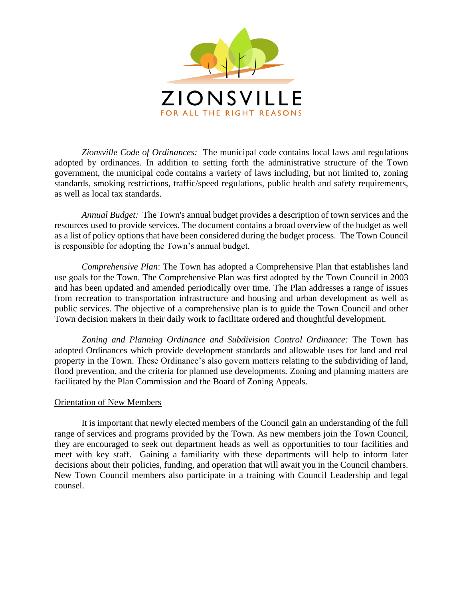

*Zionsville Code of Ordinances:* The municipal code contains local laws and regulations adopted by ordinances. In addition to setting forth the administrative structure of the Town government, the municipal code contains a variety of laws including, but not limited to, zoning standards, smoking restrictions, traffic/speed regulations, public health and safety requirements, as well as local tax standards.

*Annual Budget:* The Town's annual budget provides a description of town services and the resources used to provide services. The document contains a broad overview of the budget as well as a list of policy options that have been considered during the budget process. The Town Council is responsible for adopting the Town's annual budget.

*Comprehensive Plan*: The Town has adopted a Comprehensive Plan that establishes land use goals for the Town. The Comprehensive Plan was first adopted by the Town Council in 2003 and has been updated and amended periodically over time. The Plan addresses a range of issues from recreation to transportation infrastructure and housing and urban development as well as public services. The objective of a comprehensive plan is to guide the Town Council and other Town decision makers in their daily work to facilitate ordered and thoughtful development.

*Zoning and Planning Ordinance and Subdivision Control Ordinance:* The Town has adopted Ordinances which provide development standards and allowable uses for land and real property in the Town. These Ordinance's also govern matters relating to the subdividing of land, flood prevention, and the criteria for planned use developments. Zoning and planning matters are facilitated by the Plan Commission and the Board of Zoning Appeals.

#### Orientation of New Members

It is important that newly elected members of the Council gain an understanding of the full range of services and programs provided by the Town. As new members join the Town Council, they are encouraged to seek out department heads as well as opportunities to tour facilities and meet with key staff. Gaining a familiarity with these departments will help to inform later decisions about their policies, funding, and operation that will await you in the Council chambers. New Town Council members also participate in a training with Council Leadership and legal counsel.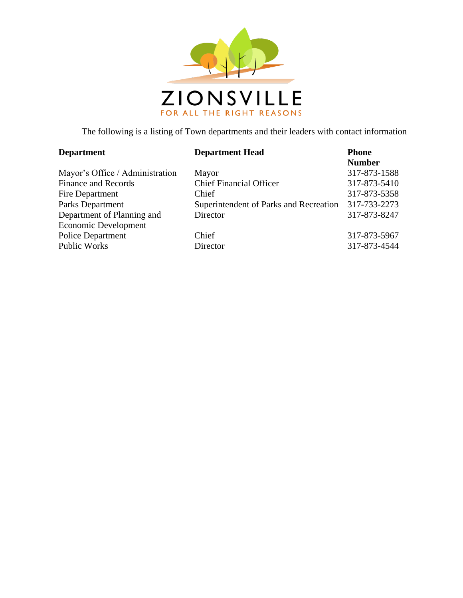

The following is a listing of Town departments and their leaders with contact information

| <b>Department</b>               | <b>Department Head</b>                 | <b>Phone</b>  |
|---------------------------------|----------------------------------------|---------------|
|                                 |                                        | <b>Number</b> |
| Mayor's Office / Administration | Mayor                                  | 317-873-1588  |
| <b>Finance and Records</b>      | <b>Chief Financial Officer</b>         | 317-873-5410  |
| Fire Department                 | Chief                                  | 317-873-5358  |
| Parks Department                | Superintendent of Parks and Recreation | 317-733-2273  |
| Department of Planning and      | Director                               | 317-873-8247  |
| <b>Economic Development</b>     |                                        |               |
| <b>Police Department</b>        | Chief                                  | 317-873-5967  |
| <b>Public Works</b>             | Director                               | 317-873-4544  |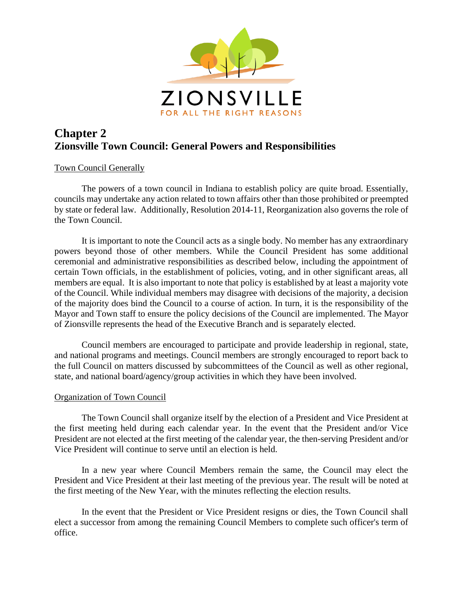

## **Chapter 2 Zionsville Town Council: General Powers and Responsibilities**

#### Town Council Generally

The powers of a town council in Indiana to establish policy are quite broad. Essentially, councils may undertake any action related to town affairs other than those prohibited or preempted by state or federal law. Additionally, Resolution 2014-11, Reorganization also governs the role of the Town Council.

It is important to note the Council acts as a single body. No member has any extraordinary powers beyond those of other members. While the Council President has some additional ceremonial and administrative responsibilities as described below, including the appointment of certain Town officials, in the establishment of policies, voting, and in other significant areas, all members are equal. It is also important to note that policy is established by at least a majority vote of the Council. While individual members may disagree with decisions of the majority, a decision of the majority does bind the Council to a course of action. In turn, it is the responsibility of the Mayor and Town staff to ensure the policy decisions of the Council are implemented. The Mayor of Zionsville represents the head of the Executive Branch and is separately elected.

Council members are encouraged to participate and provide leadership in regional, state, and national programs and meetings. Council members are strongly encouraged to report back to the full Council on matters discussed by subcommittees of the Council as well as other regional, state, and national board/agency/group activities in which they have been involved.

#### Organization of Town Council

The Town Council shall organize itself by the election of a President and Vice President at the first meeting held during each calendar year. In the event that the President and/or Vice President are not elected at the first meeting of the calendar year, the then-serving President and/or Vice President will continue to serve until an election is held.

In a new year where Council Members remain the same, the Council may elect the President and Vice President at their last meeting of the previous year. The result will be noted at the first meeting of the New Year, with the minutes reflecting the election results.

In the event that the President or Vice President resigns or dies, the Town Council shall elect a successor from among the remaining Council Members to complete such officer's term of office.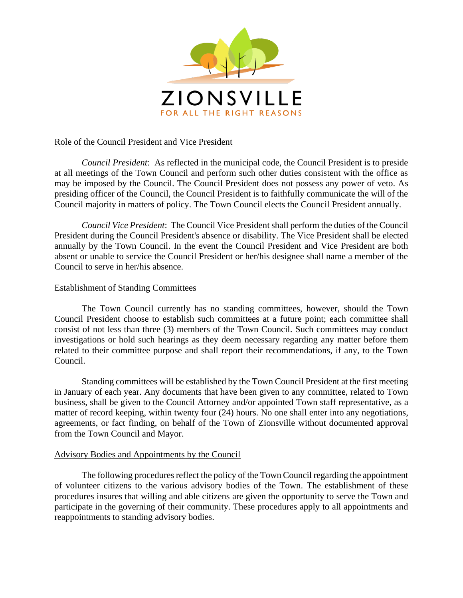

#### Role of the Council President and Vice President

*Council President*: As reflected in the municipal code, the Council President is to preside at all meetings of the Town Council and perform such other duties consistent with the office as may be imposed by the Council. The Council President does not possess any power of veto. As presiding officer of the Council, the Council President is to faithfully communicate the will of the Council majority in matters of policy. The Town Council elects the Council President annually.

*Council Vice President*: The Council Vice President shall perform the duties of the Council President during the Council President's absence or disability. The Vice President shall be elected annually by the Town Council. In the event the Council President and Vice President are both absent or unable to service the Council President or her/his designee shall name a member of the Council to serve in her/his absence.

#### Establishment of Standing Committees

The Town Council currently has no standing committees, however, should the Town Council President choose to establish such committees at a future point; each committee shall consist of not less than three (3) members of the Town Council. Such committees may conduct investigations or hold such hearings as they deem necessary regarding any matter before them related to their committee purpose and shall report their recommendations, if any, to the Town Council.

Standing committees will be established by the Town Council President at the first meeting in January of each year. Any documents that have been given to any committee, related to Town business, shall be given to the Council Attorney and/or appointed Town staff representative, as a matter of record keeping, within twenty four (24) hours. No one shall enter into any negotiations, agreements, or fact finding, on behalf of the Town of Zionsville without documented approval from the Town Council and Mayor.

#### Advisory Bodies and Appointments by the Council

The following procedures reflect the policy of the Town Council regarding the appointment of volunteer citizens to the various advisory bodies of the Town. The establishment of these procedures insures that willing and able citizens are given the opportunity to serve the Town and participate in the governing of their community. These procedures apply to all appointments and reappointments to standing advisory bodies.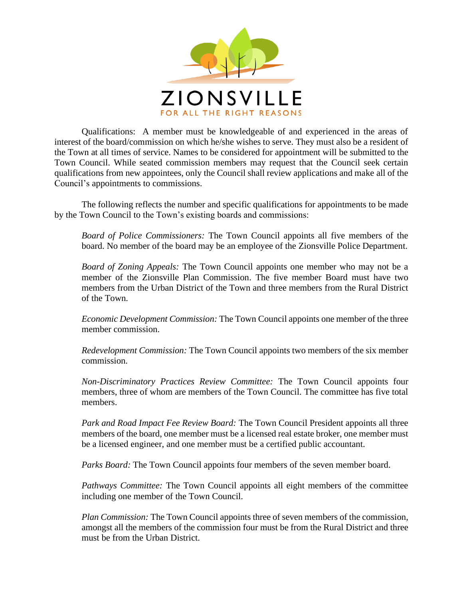

Qualifications: A member must be knowledgeable of and experienced in the areas of interest of the board/commission on which he/she wishes to serve. They must also be a resident of the Town at all times of service. Names to be considered for appointment will be submitted to the Town Council. While seated commission members may request that the Council seek certain qualifications from new appointees, only the Council shall review applications and make all of the Council's appointments to commissions.

The following reflects the number and specific qualifications for appointments to be made by the Town Council to the Town's existing boards and commissions:

*Board of Police Commissioners:* The Town Council appoints all five members of the board. No member of the board may be an employee of the Zionsville Police Department.

*Board of Zoning Appeals:* The Town Council appoints one member who may not be a member of the Zionsville Plan Commission. The five member Board must have two members from the Urban District of the Town and three members from the Rural District of the Town.

*Economic Development Commission:* The Town Council appoints one member of the three member commission.

*Redevelopment Commission:* The Town Council appoints two members of the six member commission.

*Non-Discriminatory Practices Review Committee:* The Town Council appoints four members, three of whom are members of the Town Council. The committee has five total members.

*Park and Road Impact Fee Review Board:* The Town Council President appoints all three members of the board, one member must be a licensed real estate broker, one member must be a licensed engineer, and one member must be a certified public accountant.

*Parks Board:* The Town Council appoints four members of the seven member board.

*Pathways Committee:* The Town Council appoints all eight members of the committee including one member of the Town Council.

*Plan Commission:* The Town Council appoints three of seven members of the commission, amongst all the members of the commission four must be from the Rural District and three must be from the Urban District.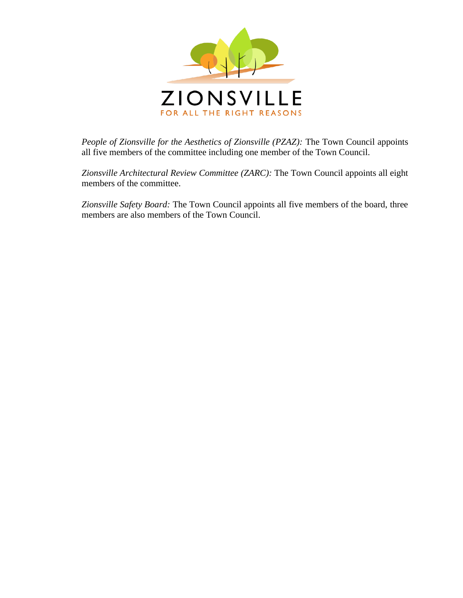

*People of Zionsville for the Aesthetics of Zionsville (PZAZ):* The Town Council appoints all five members of the committee including one member of the Town Council.

*Zionsville Architectural Review Committee (ZARC):* The Town Council appoints all eight members of the committee.

*Zionsville Safety Board:* The Town Council appoints all five members of the board, three members are also members of the Town Council.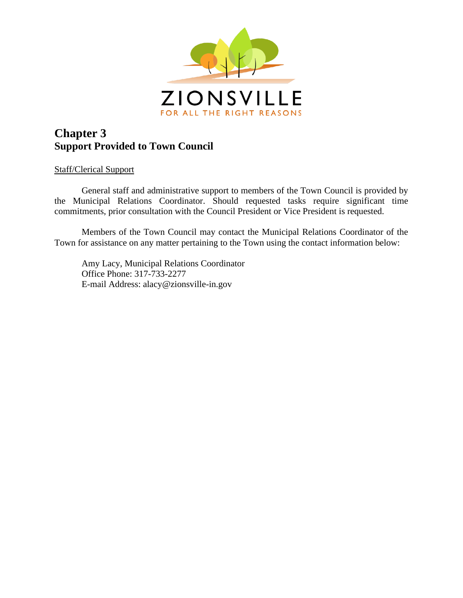

## **Chapter 3 Support Provided to Town Council**

#### Staff/Clerical Support

General staff and administrative support to members of the Town Council is provided by the Municipal Relations Coordinator. Should requested tasks require significant time commitments, prior consultation with the Council President or Vice President is requested.

Members of the Town Council may contact the Municipal Relations Coordinator of the Town for assistance on any matter pertaining to the Town using the contact information below:

Amy Lacy, Municipal Relations Coordinator Office Phone: 317-733-2277 E-mail Address: alacy@zionsville-in.gov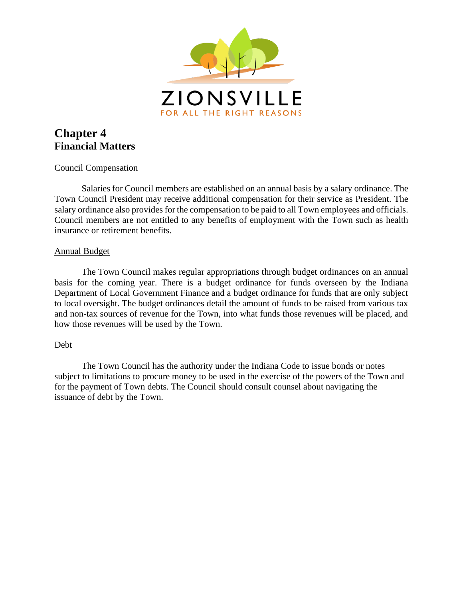

## **Chapter 4 Financial Matters**

#### Council Compensation

Salaries for Council members are established on an annual basis by a salary ordinance. The Town Council President may receive additional compensation for their service as President. The salary ordinance also provides for the compensation to be paid to all Town employees and officials. Council members are not entitled to any benefits of employment with the Town such as health insurance or retirement benefits.

#### Annual Budget

The Town Council makes regular appropriations through budget ordinances on an annual basis for the coming year. There is a budget ordinance for funds overseen by the Indiana Department of Local Government Finance and a budget ordinance for funds that are only subject to local oversight. The budget ordinances detail the amount of funds to be raised from various tax and non-tax sources of revenue for the Town, into what funds those revenues will be placed, and how those revenues will be used by the Town.

#### Debt

The Town Council has the authority under the Indiana Code to issue bonds or notes subject to limitations to procure money to be used in the exercise of the powers of the Town and for the payment of Town debts. The Council should consult counsel about navigating the issuance of debt by the Town.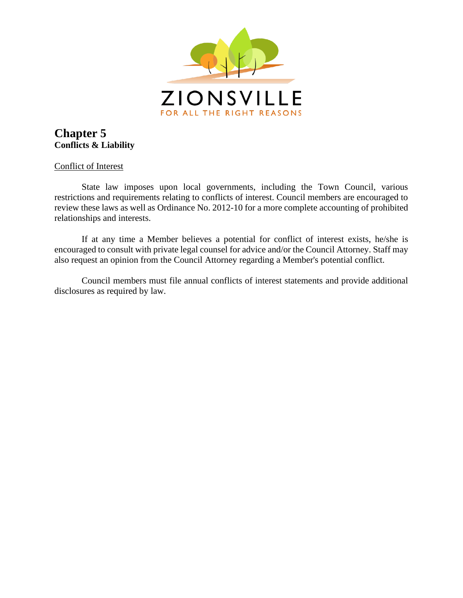

### **Chapter 5 Conflicts & Liability**

#### Conflict of Interest

State law imposes upon local governments, including the Town Council, various restrictions and requirements relating to conflicts of interest. Council members are encouraged to review these laws as well as Ordinance No. 2012-10 for a more complete accounting of prohibited relationships and interests.

If at any time a Member believes a potential for conflict of interest exists, he/she is encouraged to consult with private legal counsel for advice and/or the Council Attorney. Staff may also request an opinion from the Council Attorney regarding a Member's potential conflict.

Council members must file annual conflicts of interest statements and provide additional disclosures as required by law.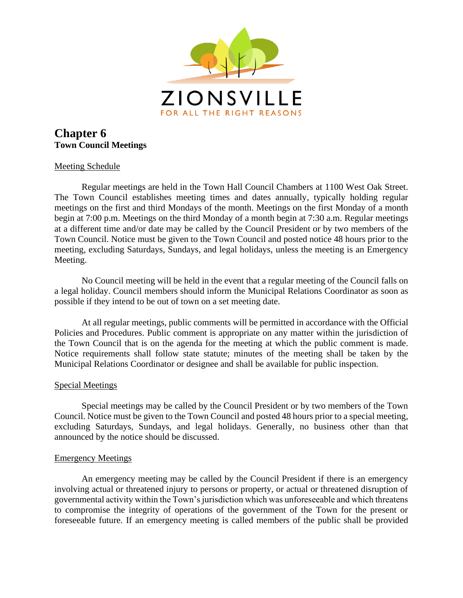

### **Chapter 6 Town Council Meetings**

#### Meeting Schedule

Regular meetings are held in the Town Hall Council Chambers at 1100 West Oak Street. The Town Council establishes meeting times and dates annually, typically holding regular meetings on the first and third Mondays of the month. Meetings on the first Monday of a month begin at 7:00 p.m. Meetings on the third Monday of a month begin at 7:30 a.m. Regular meetings at a different time and/or date may be called by the Council President or by two members of the Town Council. Notice must be given to the Town Council and posted notice 48 hours prior to the meeting, excluding Saturdays, Sundays, and legal holidays, unless the meeting is an Emergency Meeting.

No Council meeting will be held in the event that a regular meeting of the Council falls on a legal holiday. Council members should inform the Municipal Relations Coordinator as soon as possible if they intend to be out of town on a set meeting date.

At all regular meetings, public comments will be permitted in accordance with the Official Policies and Procedures. Public comment is appropriate on any matter within the jurisdiction of the Town Council that is on the agenda for the meeting at which the public comment is made. Notice requirements shall follow state statute; minutes of the meeting shall be taken by the Municipal Relations Coordinator or designee and shall be available for public inspection.

#### Special Meetings

Special meetings may be called by the Council President or by two members of the Town Council. Notice must be given to the Town Council and posted 48 hours prior to a special meeting, excluding Saturdays, Sundays, and legal holidays. Generally, no business other than that announced by the notice should be discussed.

#### Emergency Meetings

An emergency meeting may be called by the Council President if there is an emergency involving actual or threatened injury to persons or property, or actual or threatened disruption of governmental activity within the Town's jurisdiction which was unforeseeable and which threatens to compromise the integrity of operations of the government of the Town for the present or foreseeable future. If an emergency meeting is called members of the public shall be provided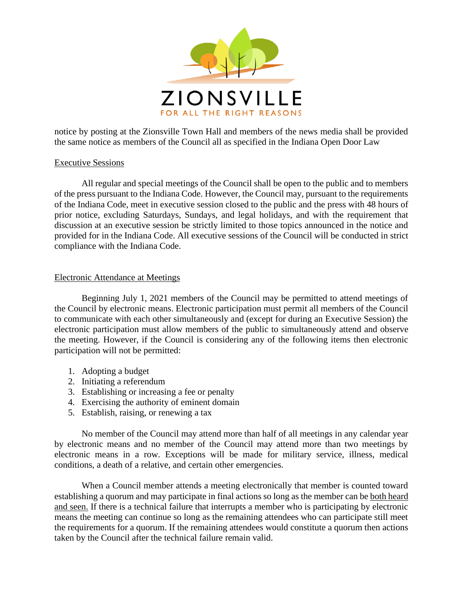

notice by posting at the Zionsville Town Hall and members of the news media shall be provided the same notice as members of the Council all as specified in the Indiana Open Door Law

#### Executive Sessions

All regular and special meetings of the Council shall be open to the public and to members of the press pursuant to the Indiana Code. However, the Council may, pursuant to the requirements of the Indiana Code, meet in executive session closed to the public and the press with 48 hours of prior notice, excluding Saturdays, Sundays, and legal holidays, and with the requirement that discussion at an executive session be strictly limited to those topics announced in the notice and provided for in the Indiana Code. All executive sessions of the Council will be conducted in strict compliance with the Indiana Code.

#### Electronic Attendance at Meetings

Beginning July 1, 2021 members of the Council may be permitted to attend meetings of the Council by electronic means. Electronic participation must permit all members of the Council to communicate with each other simultaneously and (except for during an Executive Session) the electronic participation must allow members of the public to simultaneously attend and observe the meeting. However, if the Council is considering any of the following items then electronic participation will not be permitted:

- 1. Adopting a budget
- 2. Initiating a referendum
- 3. Establishing or increasing a fee or penalty
- 4. Exercising the authority of eminent domain
- 5. Establish, raising, or renewing a tax

No member of the Council may attend more than half of all meetings in any calendar year by electronic means and no member of the Council may attend more than two meetings by electronic means in a row. Exceptions will be made for military service, illness, medical conditions, a death of a relative, and certain other emergencies.

When a Council member attends a meeting electronically that member is counted toward establishing a quorum and may participate in final actions so long as the member can be both heard and seen. If there is a technical failure that interrupts a member who is participating by electronic means the meeting can continue so long as the remaining attendees who can participate still meet the requirements for a quorum. If the remaining attendees would constitute a quorum then actions taken by the Council after the technical failure remain valid.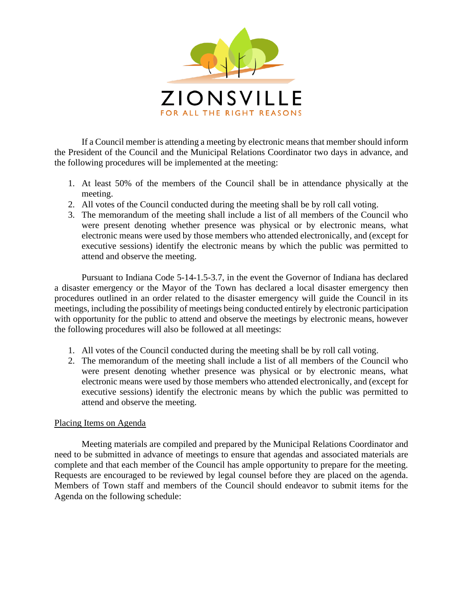

If a Council member is attending a meeting by electronic means that member should inform the President of the Council and the Municipal Relations Coordinator two days in advance, and the following procedures will be implemented at the meeting:

- 1. At least 50% of the members of the Council shall be in attendance physically at the meeting.
- 2. All votes of the Council conducted during the meeting shall be by roll call voting.
- 3. The memorandum of the meeting shall include a list of all members of the Council who were present denoting whether presence was physical or by electronic means, what electronic means were used by those members who attended electronically, and (except for executive sessions) identify the electronic means by which the public was permitted to attend and observe the meeting.

Pursuant to Indiana Code 5-14-1.5-3.7, in the event the Governor of Indiana has declared a disaster emergency or the Mayor of the Town has declared a local disaster emergency then procedures outlined in an order related to the disaster emergency will guide the Council in its meetings, including the possibility of meetings being conducted entirely by electronic participation with opportunity for the public to attend and observe the meetings by electronic means, however the following procedures will also be followed at all meetings:

- 1. All votes of the Council conducted during the meeting shall be by roll call voting.
- 2. The memorandum of the meeting shall include a list of all members of the Council who were present denoting whether presence was physical or by electronic means, what electronic means were used by those members who attended electronically, and (except for executive sessions) identify the electronic means by which the public was permitted to attend and observe the meeting.

#### Placing Items on Agenda

Meeting materials are compiled and prepared by the Municipal Relations Coordinator and need to be submitted in advance of meetings to ensure that agendas and associated materials are complete and that each member of the Council has ample opportunity to prepare for the meeting. Requests are encouraged to be reviewed by legal counsel before they are placed on the agenda. Members of Town staff and members of the Council should endeavor to submit items for the Agenda on the following schedule: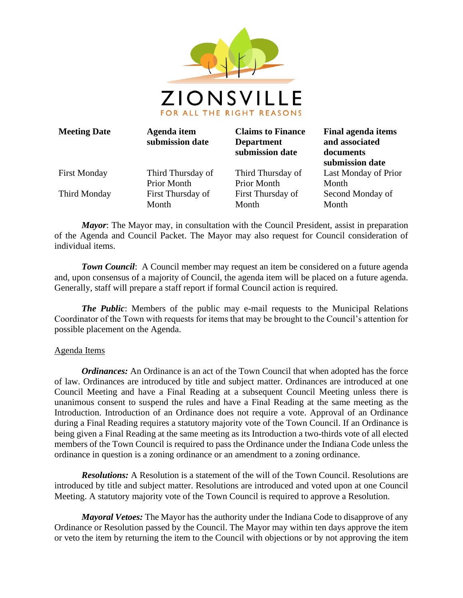

| <b>Meeting Date</b> | Agenda item<br>submission date | <b>Claims to Finance</b><br><b>Department</b><br>submission date | Fin<br>and<br>doo<br>sub |
|---------------------|--------------------------------|------------------------------------------------------------------|--------------------------|
| <b>First Monday</b> | Third Thursday of              | Third Thursday of                                                | Las                      |
|                     | <b>Prior Month</b>             | <b>Prior Month</b>                                               | Mo                       |
| Third Monday        | First Thursday of              | First Thursday of                                                | Sec                      |
|                     | Month                          | Month                                                            | Mo                       |

**Final agenda items and associated documents submission date** st Monday of Prior mth cond Monday of nth

*Mayor*: The Mayor may, in consultation with the Council President, assist in preparation of the Agenda and Council Packet. The Mayor may also request for Council consideration of individual items.

*Town Council:* A Council member may request an item be considered on a future agenda and, upon consensus of a majority of Council, the agenda item will be placed on a future agenda. Generally, staff will prepare a staff report if formal Council action is required.

*The Public*: Members of the public may e-mail requests to the Municipal Relations Coordinator of the Town with requests for items that may be brought to the Council's attention for possible placement on the Agenda.

#### Agenda Items

*Ordinances:* An Ordinance is an act of the Town Council that when adopted has the force of law. Ordinances are introduced by title and subject matter. Ordinances are introduced at one Council Meeting and have a Final Reading at a subsequent Council Meeting unless there is unanimous consent to suspend the rules and have a Final Reading at the same meeting as the Introduction. Introduction of an Ordinance does not require a vote. Approval of an Ordinance during a Final Reading requires a statutory majority vote of the Town Council. If an Ordinance is being given a Final Reading at the same meeting as its Introduction a two-thirds vote of all elected members of the Town Council is required to pass the Ordinance under the Indiana Code unless the ordinance in question is a zoning ordinance or an amendment to a zoning ordinance.

*Resolutions:* A Resolution is a statement of the will of the Town Council. Resolutions are introduced by title and subject matter. Resolutions are introduced and voted upon at one Council Meeting. A statutory majority vote of the Town Council is required to approve a Resolution.

*Mayoral Vetoes:* The Mayor has the authority under the Indiana Code to disapprove of any Ordinance or Resolution passed by the Council. The Mayor may within ten days approve the item or veto the item by returning the item to the Council with objections or by not approving the item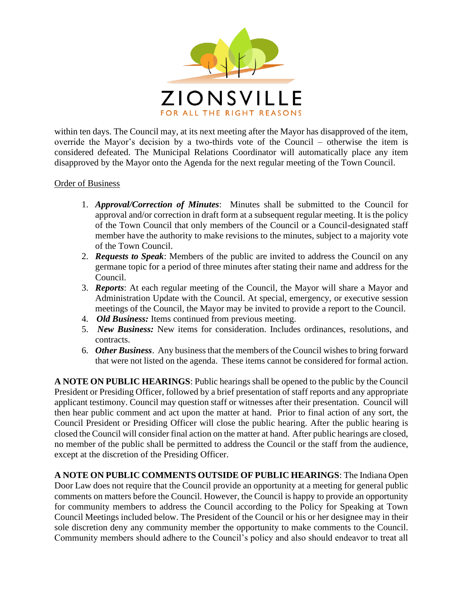

within ten days. The Council may, at its next meeting after the Mayor has disapproved of the item, override the Mayor's decision by a two-thirds vote of the Council – otherwise the item is considered defeated. The Municipal Relations Coordinator will automatically place any item disapproved by the Mayor onto the Agenda for the next regular meeting of the Town Council.

#### Order of Business

- 1. *Approval/Correction of Minutes*: Minutes shall be submitted to the Council for approval and/or correction in draft form at a subsequent regular meeting. It is the policy of the Town Council that only members of the Council or a Council-designated staff member have the authority to make revisions to the minutes, subject to a majority vote of the Town Council.
- 2. *Requests to Speak*: Members of the public are invited to address the Council on any germane topic for a period of three minutes after stating their name and address for the Council.
- 3. *Reports*: At each regular meeting of the Council, the Mayor will share a Mayor and Administration Update with the Council. At special, emergency, or executive session meetings of the Council, the Mayor may be invited to provide a report to the Council.
- 4. *Old Business:* Items continued from previous meeting.
- 5. *New Business:* New items for consideration. Includes ordinances, resolutions, and contracts.
- 6. *Other Business*. Any business that the members of the Council wishes to bring forward that were not listed on the agenda. These items cannot be considered for formal action.

**A NOTE ON PUBLIC HEARINGS**: Public hearings shall be opened to the public by the Council President or Presiding Officer, followed by a brief presentation of staff reports and any appropriate applicant testimony. Council may question staff or witnesses after their presentation. Council will then hear public comment and act upon the matter at hand. Prior to final action of any sort, the Council President or Presiding Officer will close the public hearing. After the public hearing is closed the Council will consider final action on the matter at hand. After public hearings are closed, no member of the public shall be permitted to address the Council or the staff from the audience, except at the discretion of the Presiding Officer.

**A NOTE ON PUBLIC COMMENTS OUTSIDE OF PUBLIC HEARINGS**: The Indiana Open Door Law does not require that the Council provide an opportunity at a meeting for general public comments on matters before the Council. However, the Council is happy to provide an opportunity for community members to address the Council according to the Policy for Speaking at Town Council Meetings included below. The President of the Council or his or her designee may in their sole discretion deny any community member the opportunity to make comments to the Council. Community members should adhere to the Council's policy and also should endeavor to treat all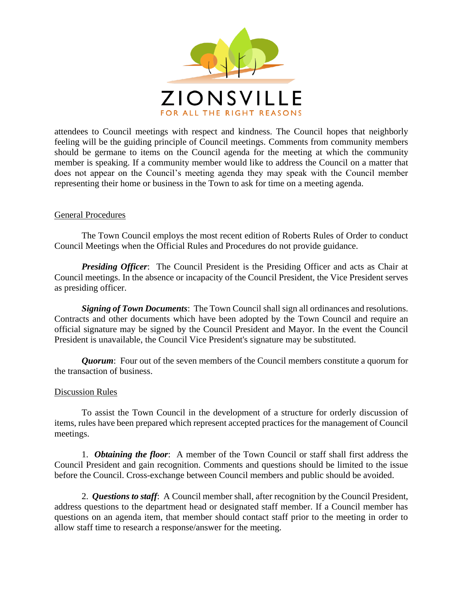

attendees to Council meetings with respect and kindness. The Council hopes that neighborly feeling will be the guiding principle of Council meetings. Comments from community members should be germane to items on the Council agenda for the meeting at which the community member is speaking. If a community member would like to address the Council on a matter that does not appear on the Council's meeting agenda they may speak with the Council member representing their home or business in the Town to ask for time on a meeting agenda.

#### General Procedures

The Town Council employs the most recent edition of Roberts Rules of Order to conduct Council Meetings when the Official Rules and Procedures do not provide guidance.

*Presiding Officer*: The Council President is the Presiding Officer and acts as Chair at Council meetings. In the absence or incapacity of the Council President, the Vice President serves as presiding officer.

*Signing of Town Documents*: The Town Council shall sign all ordinances and resolutions. Contracts and other documents which have been adopted by the Town Council and require an official signature may be signed by the Council President and Mayor. In the event the Council President is unavailable, the Council Vice President's signature may be substituted.

*Quorum*: Four out of the seven members of the Council members constitute a quorum for the transaction of business.

#### Discussion Rules

To assist the Town Council in the development of a structure for orderly discussion of items, rules have been prepared which represent accepted practices for the management of Council meetings.

1. *Obtaining the floor*: A member of the Town Council or staff shall first address the Council President and gain recognition. Comments and questions should be limited to the issue before the Council. Cross-exchange between Council members and public should be avoided.

2. *Questions to staff*: A Council member shall, after recognition by the Council President, address questions to the department head or designated staff member. If a Council member has questions on an agenda item, that member should contact staff prior to the meeting in order to allow staff time to research a response/answer for the meeting.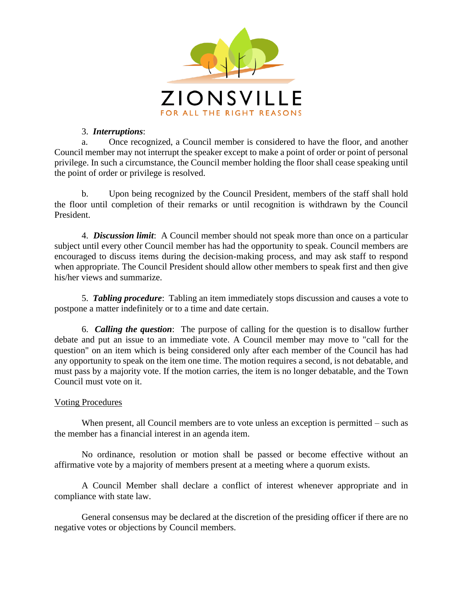

#### 3. *Interruptions*:

a. Once recognized, a Council member is considered to have the floor, and another Council member may not interrupt the speaker except to make a point of order or point of personal privilege. In such a circumstance, the Council member holding the floor shall cease speaking until the point of order or privilege is resolved.

b. Upon being recognized by the Council President, members of the staff shall hold the floor until completion of their remarks or until recognition is withdrawn by the Council President.

4. *Discussion limit*: A Council member should not speak more than once on a particular subject until every other Council member has had the opportunity to speak. Council members are encouraged to discuss items during the decision-making process, and may ask staff to respond when appropriate. The Council President should allow other members to speak first and then give his/her views and summarize.

5. *Tabling procedure*: Tabling an item immediately stops discussion and causes a vote to postpone a matter indefinitely or to a time and date certain.

6. *Calling the question*: The purpose of calling for the question is to disallow further debate and put an issue to an immediate vote. A Council member may move to "call for the question" on an item which is being considered only after each member of the Council has had any opportunity to speak on the item one time. The motion requires a second, is not debatable, and must pass by a majority vote. If the motion carries, the item is no longer debatable, and the Town Council must vote on it.

#### Voting Procedures

When present, all Council members are to vote unless an exception is permitted – such as the member has a financial interest in an agenda item.

No ordinance, resolution or motion shall be passed or become effective without an affirmative vote by a majority of members present at a meeting where a quorum exists.

A Council Member shall declare a conflict of interest whenever appropriate and in compliance with state law.

General consensus may be declared at the discretion of the presiding officer if there are no negative votes or objections by Council members.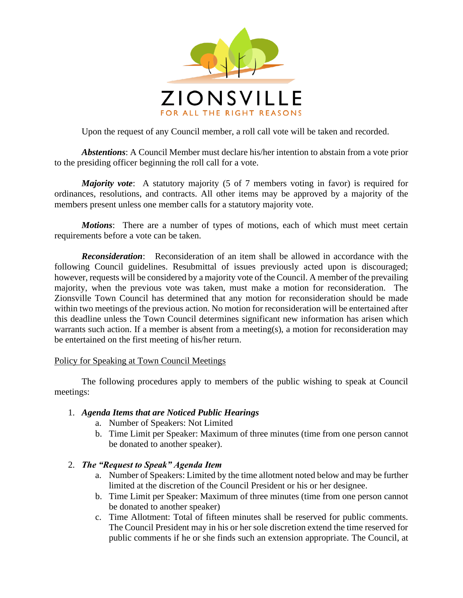

Upon the request of any Council member, a roll call vote will be taken and recorded.

*Abstentions*: A Council Member must declare his/her intention to abstain from a vote prior to the presiding officer beginning the roll call for a vote.

*Majority vote*: A statutory majority (5 of 7 members voting in favor) is required for ordinances, resolutions, and contracts. All other items may be approved by a majority of the members present unless one member calls for a statutory majority vote.

*Motions*: There are a number of types of motions, each of which must meet certain requirements before a vote can be taken.

*Reconsideration*: Reconsideration of an item shall be allowed in accordance with the following Council guidelines. Resubmittal of issues previously acted upon is discouraged; however, requests will be considered by a majority vote of the Council. A member of the prevailing majority, when the previous vote was taken, must make a motion for reconsideration. The Zionsville Town Council has determined that any motion for reconsideration should be made within two meetings of the previous action. No motion for reconsideration will be entertained after this deadline unless the Town Council determines significant new information has arisen which warrants such action. If a member is absent from a meeting(s), a motion for reconsideration may be entertained on the first meeting of his/her return.

#### Policy for Speaking at Town Council Meetings

The following procedures apply to members of the public wishing to speak at Council meetings:

#### 1. *Agenda Items that are Noticed Public Hearings*

- a. Number of Speakers: Not Limited
- b. Time Limit per Speaker: Maximum of three minutes (time from one person cannot be donated to another speaker).

#### 2. *The "Request to Speak" Agenda Item*

- a. Number of Speakers: Limited by the time allotment noted below and may be further limited at the discretion of the Council President or his or her designee.
- b. Time Limit per Speaker: Maximum of three minutes (time from one person cannot be donated to another speaker)
- c. Time Allotment: Total of fifteen minutes shall be reserved for public comments. The Council President may in his or her sole discretion extend the time reserved for public comments if he or she finds such an extension appropriate. The Council, at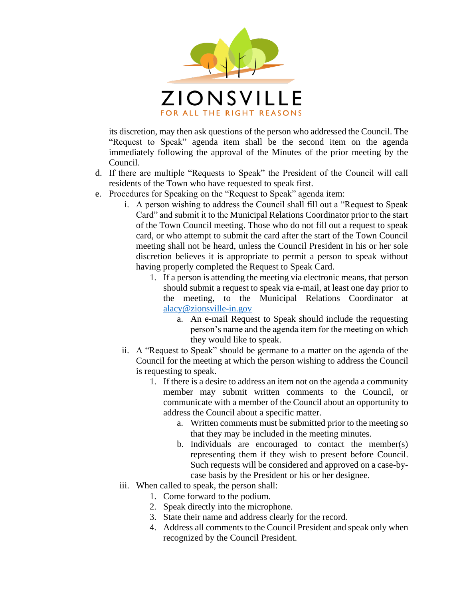

its discretion, may then ask questions of the person who addressed the Council. The "Request to Speak" agenda item shall be the second item on the agenda immediately following the approval of the Minutes of the prior meeting by the Council.

- d. If there are multiple "Requests to Speak" the President of the Council will call residents of the Town who have requested to speak first.
- e. Procedures for Speaking on the "Request to Speak" agenda item:
	- i. A person wishing to address the Council shall fill out a "Request to Speak Card" and submit it to the Municipal Relations Coordinator prior to the start of the Town Council meeting. Those who do not fill out a request to speak card, or who attempt to submit the card after the start of the Town Council meeting shall not be heard, unless the Council President in his or her sole discretion believes it is appropriate to permit a person to speak without having properly completed the Request to Speak Card.
		- 1. If a person is attending the meeting via electronic means, that person should submit a request to speak via e-mail, at least one day prior to the meeting, to the Municipal Relations Coordinator at [alacy@zionsville-in.gov](mailto:alacy@zionsville-in.gov)
			- a. An e-mail Request to Speak should include the requesting person's name and the agenda item for the meeting on which they would like to speak.
	- ii. A "Request to Speak" should be germane to a matter on the agenda of the Council for the meeting at which the person wishing to address the Council is requesting to speak.
		- 1. If there is a desire to address an item not on the agenda a community member may submit written comments to the Council, or communicate with a member of the Council about an opportunity to address the Council about a specific matter.
			- a. Written comments must be submitted prior to the meeting so that they may be included in the meeting minutes.
			- b. Individuals are encouraged to contact the member(s) representing them if they wish to present before Council. Such requests will be considered and approved on a case-bycase basis by the President or his or her designee.
	- iii. When called to speak, the person shall:
		- 1. Come forward to the podium.
		- 2. Speak directly into the microphone.
		- 3. State their name and address clearly for the record.
		- 4. Address all comments to the Council President and speak only when recognized by the Council President.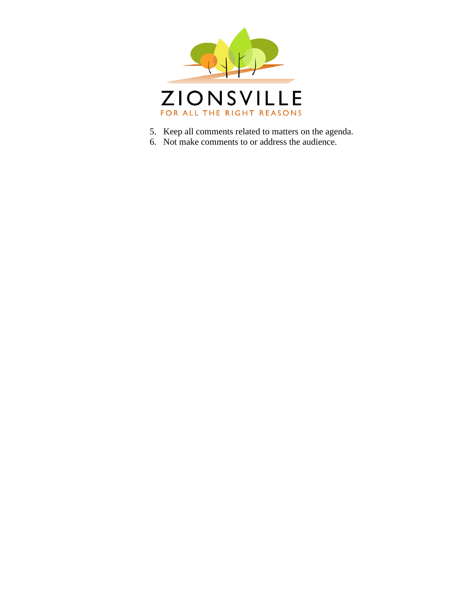

- 5. Keep all comments related to matters on the agenda.
- 6. Not make comments to or address the audience.